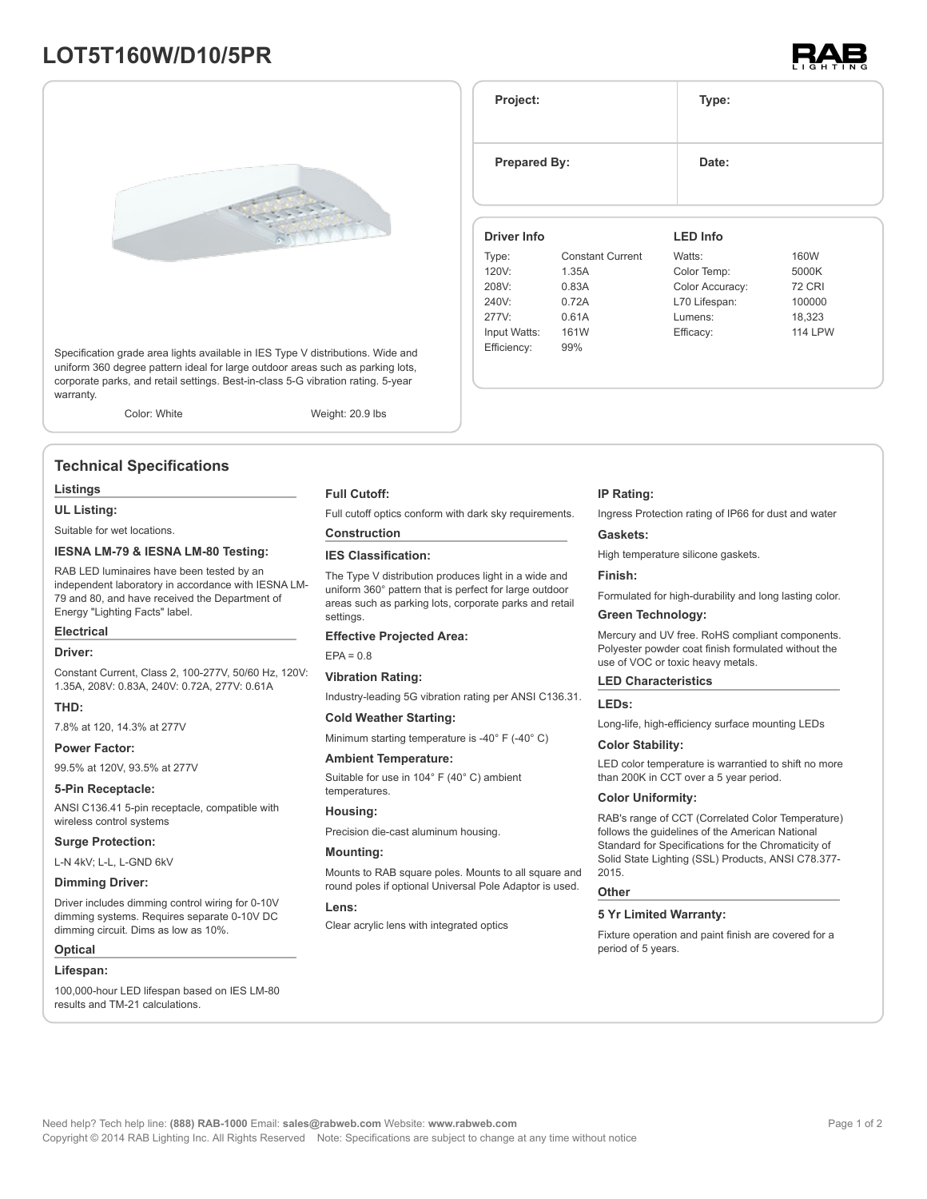## **LOT5T160W/D10/5PR**





Specification grade area lights available in IES Type V distributions. Wide and uniform 360 degree pattern ideal for large outdoor areas such as parking lots, corporate parks, and retail settings. Best-in-class 5-G vibration rating. 5-year warranty.

Color: White Weight: 20.9 lbs

### **Technical Specifications**

#### **Listings**

#### **UL Listing:**

Suitable for wet locations.

#### **IESNA LM-79 & IESNA LM-80 Testing:**

RAB LED luminaires have been tested by an independent laboratory in accordance with IESNA LM-79 and 80, and have received the Department of Energy "Lighting Facts" label.

#### **Electrical**

#### **Driver:**

Constant Current, Class 2, 100-277V, 50/60 Hz, 120V: 1.35A, 208V: 0.83A, 240V: 0.72A, 277V: 0.61A

#### **THD:**

7.8% at 120, 14.3% at 277V

#### **Power Factor:**

99.5% at 120V, 93.5% at 277V

#### **5-Pin Receptacle:**

ANSI C136.41 5-pin receptacle, compatible with wireless control systems

#### **Surge Protection:**

L-N 4kV; L-L, L-GND 6kV

#### **Dimming Driver:**

Driver includes dimming control wiring for 0-10V dimming systems. Requires separate 0-10V DC dimming circuit. Dims as low as 10%.

#### **Optical**

#### **Lifespan:**

100,000-hour LED lifespan based on IES LM-80 results and TM-21 calculations.

#### **Full Cutoff:**

Full cutoff optics conform with dark sky requirements.

#### **Construction**

#### **IES Classification:**

The Type V distribution produces light in a wide and uniform 360° pattern that is perfect for large outdoor areas such as parking lots, corporate parks and retail settings.

#### **Effective Projected Area:**

 $FPA = 0.8$ 

#### **Vibration Rating:**

Industry-leading 5G vibration rating per ANSI C136.31.

#### **Cold Weather Starting:**

Minimum starting temperature is -40° F (-40° C)

#### **Ambient Temperature:**

Suitable for use in 104° F (40° C) ambient temperatures.

#### **Housing:**

Precision die-cast aluminum housing.

#### **Mounting:**

Mounts to RAB square poles. Mounts to all square and round poles if optional Universal Pole Adaptor is used.

#### **Lens:**

Clear acrylic lens with integrated optics

#### **IP Rating:**

**Project: Type:**

**Prepared By:** Date:

**Driver Info**

120V: 1.35A 208V: 0.83A 240V: 0.72A 277V: 0.61A Input Watts: 161W Efficiency: 99%

Type: Constant Current

Ingress Protection rating of IP66 for dust and water

**LED Info**

Watts: 160W Color Temp: 5000K Color Accuracy: 72 CRI L70 Lifespan: 100000 Lumens: 18,323 Efficacy: 114 LPW

#### **Gaskets:**

High temperature silicone gaskets.

#### **Finish:**

Formulated for high-durability and long lasting color.

#### **Green Technology:**

Mercury and UV free. RoHS compliant components. Polyester powder coat finish formulated without the use of VOC or toxic heavy metals.

#### **LED Characteristics**

#### **LEDs:**

Long-life, high-efficiency surface mounting LEDs

#### **Color Stability:**

LED color temperature is warrantied to shift no more than 200K in CCT over a 5 year period.

#### **Color Uniformity:**

RAB's range of CCT (Correlated Color Temperature) follows the guidelines of the American National Standard for Specifications for the Chromaticity of Solid State Lighting (SSL) Products, ANSI C78.377- 2015.

#### **Other**

#### **5 Yr Limited Warranty:**

Fixture operation and paint finish are covered for a period of 5 years.